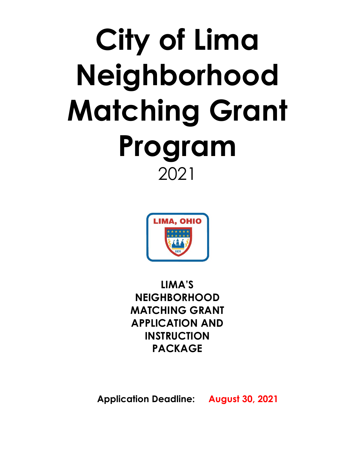# **City of Lima Neighborhood Matching Grant Program** 2021



**LIMA'S NEIGHBORHOOD MATCHING GRANT APPLICATION AND INSTRUCTION PACKAGE** 

**Application Deadline: August 30, 2021**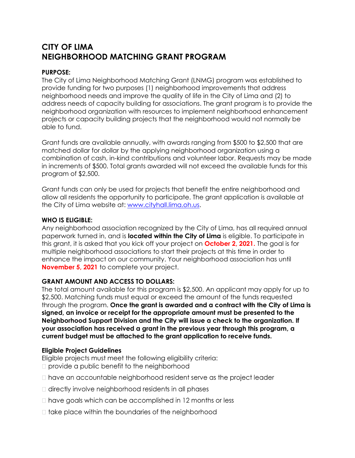### **CITY OF LIMA NEIGHBORHOOD MATCHING GRANT PROGRAM**

#### **PURPOSE:**

The City of Lima Neighborhood Matching Grant (LNMG) program was established to provide funding for two purposes (1) neighborhood improvements that address neighborhood needs and improve the quality of life in the City of Lima and (2) to address needs of capacity building for associations. The grant program is to provide the neighborhood organization with resources to implement neighborhood enhancement projects or capacity building projects that the neighborhood would not normally be able to fund.

Grant funds are available annually, with awards ranging from \$500 to \$2,500 that are matched dollar for dollar by the applying neighborhood organization using a combination of cash, in-kind contributions and volunteer labor. Requests may be made in increments of \$500. Total grants awarded will not exceed the available funds for this program of \$2,500.

Grant funds can only be used for projects that benefit the entire neighborhood and allow all residents the opportunity to participate. The grant application is available at the City of Lima website at: [www.cityhall.lima.oh.us.](http://www.cityhall.lima.oh.us/)

#### **WHO IS ELIGIBLE:**

Any neighborhood association recognized by the City of Lima, has all required annual paperwork turned in, and is **located within the City of Lima** is eligible. To participate in this grant, it is asked that you kick off your project on **October 2, 2021.** The goal is for multiple neighborhood associations to start their projects at this time in order to enhance the impact on our community. Your neighborhood association has until **November 5, 2021** to complete your project.

#### **GRANT AMOUNT AND ACCESS TO DOLLARS:**

The total amount available for this program is \$2,500. An applicant may apply for up to \$2,500. Matching funds must equal or exceed the amount of the funds requested through the program. **Once the grant is awarded and a contract with the City of Lima is signed, an invoice or receipt for the appropriate amount must be presented to the Neighborhood Support Division and the City will issue a check to the organization. If your association has received a grant in the previous year through this program, a current budget must be attached to the grant application to receive funds.**

#### **Eligible Project Guidelines**

Eligible projects must meet the following eligibility criteria:

- □ provide a public benefit to the neighborhood
- $\Box$  have an accountable neighborhood resident serve as the project leader
- $\Box$  directly involve neighborhood residents in all phases
- □ have goals which can be accomplished in 12 months or less
- $\Box$  take place within the boundaries of the neighborhood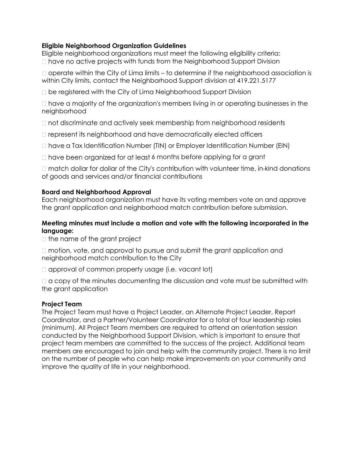#### **Eligible Neighborhood Organization Guidelines**

Eligible neighborhood organizations must meet the following eligibility criteria:  $\Box$  have no active projects with funds from the Neighborhood Support Division

 $\Box$  operate within the City of Lima limits – to determine if the neighborhood association is within City limits, contact the Neighborhood Support division at 419.221.5177

be registered with the City of Lima Neighborhood Support Division

 $\Box$  have a majority of the organization's members living in or operating businesses in the neighborhood

 $\Box$  not discriminate and actively seek membership from neighborhood residents

□ represent its neighborhood and have democratically elected officers

 $\Box$  have a Tax Identification Number (TIN) or Employer Identification Number (EIN)

 $\Box$  have been organized for at least 6 months before applying for a grant

 $\Box$  match dollar for dollar of the City's contribution with volunteer time, in-kind donations of goods and services and/or financial contributions

#### **Board and Neighborhood Approval**

Each neighborhood organization must have its voting members vote on and approve the grant application and neighborhood match contribution before submission.

#### **Meeting minutes must include a motion and vote with the following incorporated in the language:**

 $\Box$  the name of the grant project

 $\Box$  motion, vote, and approval to pursue and submit the grant application and neighborhood match contribution to the City

 $\Box$  approval of common property usage (i.e. vacant lot)

 $\Box$  a copy of the minutes documenting the discussion and vote must be submitted with the grant application

#### **Project Team**

The Project Team must have a Project Leader, an Alternate Project Leader, Report Coordinator, and a Partner/Volunteer Coordinator for a total of four leadership roles (minimum). All Project Team members are required to attend an orientation session conducted by the Neighborhood Support Division, which is important to ensure that project team members are committed to the success of the project. Additional team members are encouraged to join and help with the community project. There is no limit on the number of people who can help make improvements on your community and improve the quality of life in your neighborhood.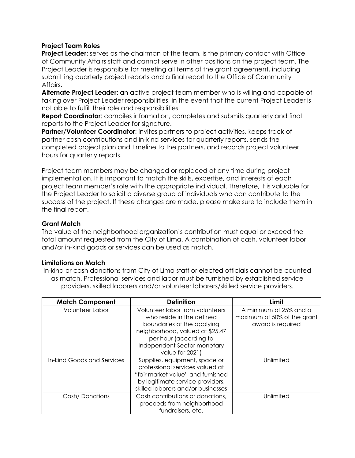#### **Project Team Roles**

**Project Leader:** serves as the chairman of the team, is the primary contact with Office of Community Affairs staff and cannot serve in other positions on the project team. The Project Leader is responsible for meeting all terms of the grant agreement, including submitting quarterly project reports and a final report to the Office of Community Affairs.

**Alternate Project Leader**: an active project team member who is willing and capable of taking over Project Leader responsibilities, in the event that the current Project Leader is not able to fulfill their role and responsibilities

**Report Coordinator**: compiles information, completes and submits quarterly and final reports to the Project Leader for signature.

**Partner/Volunteer Coordinator**: invites partners to project activities, keeps track of partner cash contributions and in-kind services for quarterly reports, sends the completed project plan and timeline to the partners, and records project volunteer hours for quarterly reports.

Project team members may be changed or replaced at any time during project implementation. It is important to match the skills, expertise, and interests of each project team member's role with the appropriate individual. Therefore, it is valuable for the Project Leader to solicit a diverse group of individuals who can contribute to the success of the project. If these changes are made, please make sure to include them in the final report.

#### **Grant Match**

The value of the neighborhood organization's contribution must equal or exceed the total amount requested from the City of Lima. A combination of cash, volunteer labor and/or in-kind goods or services can be used as match.

#### **Limitations on Match**

In-kind or cash donations from City of Lima staff or elected officials cannot be counted as match. Professional services and labor must be furnished by established service providers, skilled laborers and/or volunteer laborers/skilled service providers.

| <b>Match Component</b>     | <b>Definition</b>                                                                                                                                                                                         | Limit                                                                      |
|----------------------------|-----------------------------------------------------------------------------------------------------------------------------------------------------------------------------------------------------------|----------------------------------------------------------------------------|
| Volunteer Labor            | Volunteer labor from volunteers<br>who reside in the defined<br>boundaries of the applying<br>neighborhood, valued at \$25.47<br>per hour (according to<br>Independent Sector monetary<br>value for 2021) | A minimum of 25% and a<br>maximum of 50% of the grant<br>award is required |
| In-kind Goods and Services | Supplies, equipment, space or<br>professional services valued at<br>"fair market value" and furnished<br>by legitimate service providers,<br>skilled laborers and/or businesses                           | Unlimited                                                                  |
| Cash/Donations             | Cash contributions or donations,<br>proceeds from neighborhood<br>fundraisers, etc.                                                                                                                       | Unlimited                                                                  |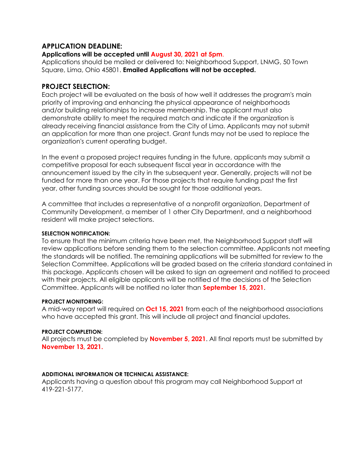#### **APPLICATION DEADLINE:**

#### **Applications will be accepted until August 30, 2021 at 5pm**.

Applications should be mailed or delivered to: Neighborhood Support, LNMG, 50 Town Square, Lima, Ohio 45801. **Emailed Applications will not be accepted.**

#### **PROJECT SELECTION:**

Each project will be evaluated on the basis of how well it addresses the program's main priority of improving and enhancing the physical appearance of neighborhoods and/or building relationships to increase membership. The applicant must also demonstrate ability to meet the required match and indicate if the organization is already receiving financial assistance from the City of Lima. Applicants may not submit an application for more than one project. Grant funds may not be used to replace the organization's current operating budget.

In the event a proposed project requires funding in the future, applicants may submit a competitive proposal for each subsequent fiscal year in accordance with the announcement issued by the city in the subsequent year. Generally, projects will not be funded for more than one year. For those projects that require funding past the first year, other funding sources should be sought for those additional years.

A committee that includes a representative of a nonprofit organization, Department of Community Development, a member of 1 other City Department, and a neighborhood resident will make project selections.

#### **SELECTION NOTIFICATION:**

To ensure that the minimum criteria have been met, the Neighborhood Support staff will review applications before sending them to the selection committee. Applicants not meeting the standards will be notified. The remaining applications will be submitted for review to the Selection Committee. Applications will be graded based on the criteria standard contained in this package. Applicants chosen will be asked to sign an agreement and notified to proceed with their projects. All eligible applicants will be notified of the decisions of the Selection Committee. Applicants will be notified no later than **September 15, 2021**.

#### **PROJECT MONITORING:**

A mid-way report will required on **Oct 15, 2021** from each of the neighborhood associations who have accepted this grant. This will include all project and financial updates.

#### **PROJECT COMPLETION:**

All projects must be completed by **November 5, 2021**. All final reports must be submitted by **November 13, 2021.**

#### **ADDITIONAL INFORMATION OR TECHNICAL ASSISTANCE:**

Applicants having a question about this program may call Neighborhood Support at 419-221-5177.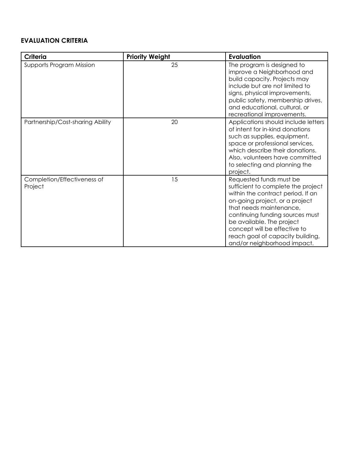#### **EVALUATION CRITERIA**

| <b>Criteria</b>                        | <b>Priority Weight</b> | <b>Evaluation</b>                                                                                                                                                                                                                                                                                                                  |
|----------------------------------------|------------------------|------------------------------------------------------------------------------------------------------------------------------------------------------------------------------------------------------------------------------------------------------------------------------------------------------------------------------------|
| Supports Program Mission               | 25                     | The program is designed to<br>improve a Neighborhood and<br>build capacity. Projects may<br>include but are not limited to<br>signs, physical improvements,<br>public safety, membership drives,<br>and educational, cultural, or<br>recreational improvements.                                                                    |
| Partnership/Cost-sharing Ability       | 20                     | Applications should include letters<br>of intent for in-kind donations<br>such as supplies, equipment,<br>space or professional services,<br>which describe their donations.<br>Also, volunteers have committed<br>to selecting and planning the<br>project.                                                                       |
| Completion/Effectiveness of<br>Project | 15                     | Requested funds must be<br>sufficient to complete the project<br>within the contract period. If an<br>on-going project, or a project<br>that needs maintenance,<br>continuing funding sources must<br>be available. The project<br>concept will be effective to<br>reach goal of capacity building,<br>and/or neighborhood impact. |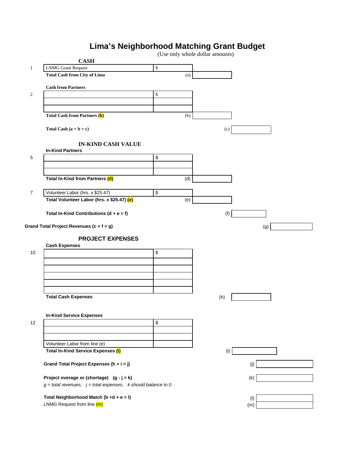## **Lima's Neighborhood Matching Grant Budget**

|                  | $ -$                                                                |      |     | (Use only whole dollar amounts) |            |
|------------------|---------------------------------------------------------------------|------|-----|---------------------------------|------------|
|                  | <b>CASH</b>                                                         |      |     |                                 |            |
| $\mathbf{1}$     | <b>LNMG</b> Grant Request                                           | \$   |     |                                 |            |
|                  | <b>Total Cash from City of Lima</b>                                 |      | (a) |                                 |            |
|                  | <b>Cash from Partners</b>                                           |      |     |                                 |            |
| $\boldsymbol{2}$ |                                                                     | \$   |     |                                 |            |
|                  |                                                                     |      |     |                                 |            |
|                  |                                                                     |      |     |                                 |            |
|                  | <b>Total Cash from Partners (b)</b>                                 |      | (b) |                                 |            |
|                  |                                                                     |      |     |                                 |            |
|                  | Total Cash $(a + b = c)$                                            |      |     | (c)                             |            |
|                  |                                                                     |      |     |                                 |            |
|                  | <b>IN-KIND CASH VALUE</b>                                           |      |     |                                 |            |
|                  | <b>In-Kind Partners</b>                                             |      |     |                                 |            |
| 5                |                                                                     | $\,$ |     |                                 |            |
|                  |                                                                     |      |     |                                 |            |
|                  |                                                                     |      |     |                                 |            |
|                  | Total In-Kind from Partners (d)                                     |      | (d) |                                 |            |
| $\overline{7}$   | Volunteer Labor (hrs. x \$25.47)                                    | $\,$ |     |                                 |            |
|                  | Total Volunteer Labor (hrs. x \$25.47) (e)                          |      | (e) |                                 |            |
|                  |                                                                     |      |     |                                 |            |
|                  | Total In-Kind Contributions $(d + e = f)$                           |      |     | (f)                             |            |
|                  |                                                                     |      |     |                                 |            |
|                  | Grand Total Project Revenues (c + f = g)                            |      |     |                                 | (g)        |
|                  | <b>PROJECT EXPENSES</b>                                             |      |     |                                 |            |
|                  | <b>Cash Expenses</b>                                                |      |     |                                 |            |
| 10               |                                                                     | \$   |     |                                 |            |
|                  |                                                                     |      |     |                                 |            |
|                  |                                                                     |      |     |                                 |            |
|                  |                                                                     |      |     |                                 |            |
|                  |                                                                     |      |     |                                 |            |
|                  |                                                                     |      |     |                                 |            |
|                  | <b>Total Cash Expenses</b>                                          |      |     | (h)                             |            |
|                  |                                                                     |      |     |                                 |            |
|                  |                                                                     |      |     |                                 |            |
| 12               | <b>In-Kind Service Expenses</b>                                     | \$   |     |                                 |            |
|                  |                                                                     |      |     |                                 |            |
|                  |                                                                     |      |     |                                 |            |
|                  | Volunteer Labor from line (e)                                       |      |     |                                 |            |
|                  | <b>Total In-Kind Service Expenses (i)</b>                           |      |     | (i)                             |            |
|                  |                                                                     |      |     |                                 |            |
|                  | Grand Total Project Expenses ( $h + i = j$ )                        |      |     |                                 | (j)        |
|                  |                                                                     |      |     |                                 |            |
|                  | Project overage or (shortage) $(g - j = k)$                         |      |     |                                 | (k)        |
|                  | $g$ = total revenues, $j$ = total expenses, $k$ should balance to 0 |      |     |                                 |            |
|                  | Total Neighborhood Match (b +d + e = l)                             |      |     |                                 |            |
|                  | LNMG Request from line (m)                                          |      |     |                                 | (1)<br>(m) |
|                  |                                                                     |      |     |                                 |            |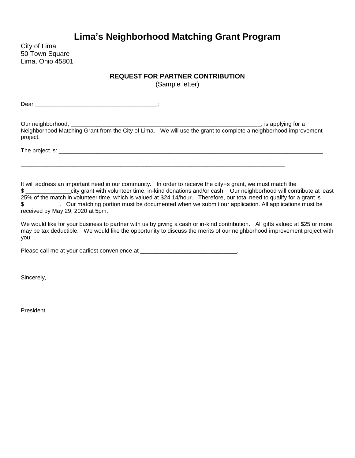## **Lima's Neighborhood Matching Grant Program**

City of Lima 50 Town Square Lima, Ohio 45801

#### **REQUEST FOR PARTNER CONTRIBUTION**

(Sample letter)

 $Dear$   $\qquad \qquad$   $\qquad \qquad$   $\qquad \qquad$   $\qquad \qquad$   $\qquad \qquad$   $\qquad \qquad$   $\qquad \qquad$   $\qquad \qquad$   $\qquad \qquad$   $\qquad \qquad$   $\qquad \qquad$   $\qquad \qquad$   $\qquad$   $\qquad \qquad$   $\qquad \qquad$   $\qquad$   $\qquad \qquad$   $\qquad$   $\qquad$   $\qquad$   $\qquad$   $\qquad$   $\qquad$   $\qquad$   $\qquad$   $\qquad$   $\qquad$   $\qquad$   $\q$ 

Our neighborhood, \_\_\_\_\_\_\_\_\_\_\_\_\_\_\_\_\_\_\_\_\_\_\_\_\_\_\_\_\_\_\_\_\_\_\_\_\_\_\_\_\_\_\_\_\_\_\_\_\_\_\_\_\_\_\_\_\_\_\_, is applying for a Neighborhood Matching Grant from the City of Lima. We will use the grant to complete a neighborhood improvement project.

\_\_\_\_\_\_\_\_\_\_\_\_\_\_\_\_\_\_\_\_\_\_\_\_\_\_\_\_\_\_\_\_\_\_\_\_\_\_\_\_\_\_\_\_\_\_\_\_\_\_\_\_\_\_\_\_\_\_\_\_\_\_\_\_\_\_\_\_\_\_\_\_\_\_\_\_\_\_\_\_\_\_

The project is: \_\_\_\_\_\_\_\_\_\_\_\_\_\_\_\_\_\_\_\_\_\_\_\_\_\_\_\_\_\_\_\_\_\_\_\_\_\_\_\_\_\_\_\_\_\_\_\_\_\_\_\_\_\_\_\_\_\_\_\_\_\_\_\_\_\_\_\_\_\_\_\_\_\_\_\_\_\_\_\_\_\_

It will address an important need in our community. In order to receive the city=s grant, we must match the \$ \_\_\_\_\_\_\_\_\_\_\_\_\_\_city grant with volunteer time, in-kind donations and/or cash. Our neighborhood will contribute at least 25% of the match in volunteer time, which is valued at \$24.14/hour. Therefore, our total need to qualify for a grant is \$\_\_\_\_\_\_\_\_\_\_\_. Our matching portion must be documented when we submit our application. All applications must be received by May 29, 2020 at 5pm.

We would like for your business to partner with us by giving a cash or in-kind contribution. All gifts valued at \$25 or more may be tax deductible. We would like the opportunity to discuss the merits of our neighborhood improvement project with you.

Please call me at your earliest convenience at \_\_\_\_\_\_\_\_\_\_\_\_\_\_\_\_\_\_\_\_\_\_\_\_\_\_\_\_\_\_\_\_\_.

Sincerely,

President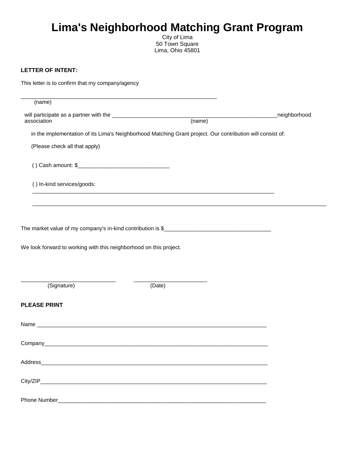# **Lima's Neighborhood Matching Grant Program**

City of Lima 50 Town Square Lima, Ohio 45801

#### **LETTER OF INTENT:**

| This letter is to confirm that my company/agency                                                                                                                                                                                                           |                                                                                                                  |               |
|------------------------------------------------------------------------------------------------------------------------------------------------------------------------------------------------------------------------------------------------------------|------------------------------------------------------------------------------------------------------------------|---------------|
| (name)                                                                                                                                                                                                                                                     | and the control of the control of the control of the control of the control of the control of the control of the |               |
|                                                                                                                                                                                                                                                            |                                                                                                                  | _neighborhood |
|                                                                                                                                                                                                                                                            |                                                                                                                  |               |
|                                                                                                                                                                                                                                                            | in the implementation of its Lima's Neighborhood Matching Grant project. Our contribution will consist of:       |               |
| (Please check all that apply)                                                                                                                                                                                                                              |                                                                                                                  |               |
| () Cash amount: $\frac{1}{2}$ [100] Cash amount: $\frac{1}{2}$ [100] Cash amount: $\frac{1}{2}$ [100] Cash amount: $\frac{1}{2}$ [100] Cash amount: $\frac{1}{2}$ [100] Cash amount: $\frac{1}{2}$ [100] Cash amount: $\frac{1}{2}$ [100] Cash amount: $\$ |                                                                                                                  |               |
| () In-kind services/goods:                                                                                                                                                                                                                                 |                                                                                                                  |               |
|                                                                                                                                                                                                                                                            |                                                                                                                  |               |
|                                                                                                                                                                                                                                                            |                                                                                                                  |               |
|                                                                                                                                                                                                                                                            |                                                                                                                  |               |
| We look forward to working with this neighborhood on this project.                                                                                                                                                                                         |                                                                                                                  |               |
| (Signature)                                                                                                                                                                                                                                                | (Date)                                                                                                           |               |
| <b>PLEASE PRINT</b>                                                                                                                                                                                                                                        |                                                                                                                  |               |
|                                                                                                                                                                                                                                                            |                                                                                                                  |               |
|                                                                                                                                                                                                                                                            |                                                                                                                  |               |
|                                                                                                                                                                                                                                                            |                                                                                                                  |               |
|                                                                                                                                                                                                                                                            |                                                                                                                  |               |
|                                                                                                                                                                                                                                                            |                                                                                                                  |               |